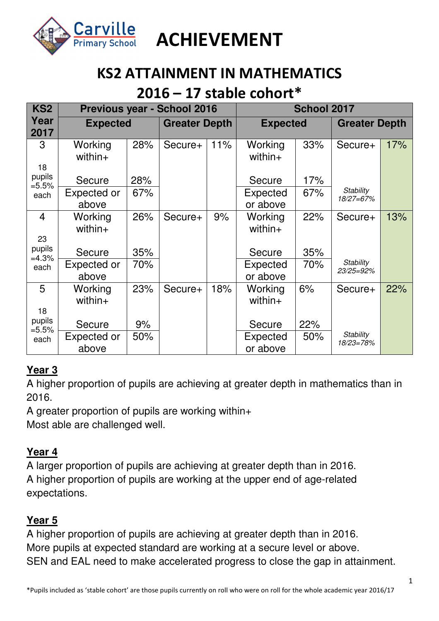

## **KS2 ATTAINMENT IN MATHEMATICS**

### **2016 – 17 stable cohort\***

| KS <sub>2</sub>    |                       | Previous year - School 2016 | School 2017          |     |                       |     |                               |     |
|--------------------|-----------------------|-----------------------------|----------------------|-----|-----------------------|-----|-------------------------------|-----|
| Year<br>2017       | <b>Expected</b>       |                             | <b>Greater Depth</b> |     | <b>Expected</b>       |     | <b>Greater Depth</b>          |     |
| 3                  | Working<br>$with in+$ | 28%                         | Secure+              | 11% | Working<br>$with in+$ | 33% | Secure+                       | 17% |
| 18                 |                       |                             |                      |     |                       |     |                               |     |
| pupils<br>$= 5.5%$ | Secure                | 28%                         |                      |     | Secure                | 17% |                               |     |
| each               | Expected or           | 67%                         |                      |     | Expected              | 67% | <b>Stability</b><br>18/27=67% |     |
|                    | above                 |                             |                      |     | or above              |     |                               |     |
| $\overline{4}$     | Working<br>$within+$  | 26%                         | Secure+              | 9%  | Working<br>$within+$  | 22% | Secure+                       | 13% |
| 23                 |                       |                             |                      |     |                       |     |                               |     |
| pupils<br>$=4.3%$  | Secure                | 35%                         |                      |     | Secure                | 35% |                               |     |
| each               | Expected or           | 70%                         |                      |     | Expected              | 70% | <b>Stability</b><br>23/25=92% |     |
|                    | above                 |                             |                      |     | or above              |     |                               |     |
| 5                  | Working               | 23%                         | Secure+              | 18% | Working               | 6%  | Secure+                       | 22% |
|                    | $within+$             |                             |                      |     | $within+$             |     |                               |     |
| 18                 |                       |                             |                      |     |                       |     |                               |     |
| pupils<br>$= 5.5%$ | Secure                | 9%                          |                      |     | Secure                | 22% |                               |     |
| each               | Expected or           | 50%                         |                      |     | Expected              | 50% | <b>Stability</b><br>18/23=78% |     |
|                    | above                 |                             |                      |     | or above              |     |                               |     |

### **Year 3**

A higher proportion of pupils are achieving at greater depth in mathematics than in 2016.

A greater proportion of pupils are working within+

Most able are challenged well.

### **Year 4**

A larger proportion of pupils are achieving at greater depth than in 2016. A higher proportion of pupils are working at the upper end of age-related expectations.

### **Year 5**

A higher proportion of pupils are achieving at greater depth than in 2016. More pupils at expected standard are working at a secure level or above. SEN and EAL need to make accelerated progress to close the gap in attainment.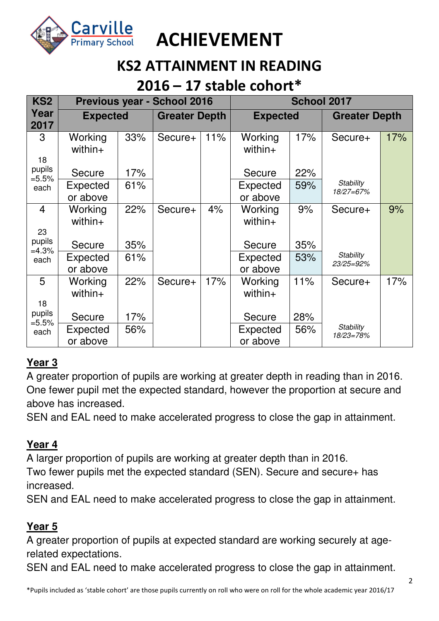

### **KS2 ATTAINMENT IN READING**

### **2016 – 17 stable cohort\***

| KS <sub>2</sub>      |                       | <b>Previous year - School 2016</b> |                      | School 2017 |                       |     |                               |     |
|----------------------|-----------------------|------------------------------------|----------------------|-------------|-----------------------|-----|-------------------------------|-----|
| Year<br>2017         | <b>Expected</b>       |                                    | <b>Greater Depth</b> |             | <b>Expected</b>       |     | <b>Greater Depth</b>          |     |
| 3                    | Working<br>$with in+$ | 33%                                | Secure+              | 11%         | Working<br>$with in+$ | 17% | Secure+                       | 17% |
| 18                   |                       |                                    |                      |             |                       |     |                               |     |
| pupils<br>$=5.5%$    | Secure                | 17%                                |                      |             | Secure                | 22% |                               |     |
| each                 | Expected              | 61%                                |                      |             | Expected              | 59% | <b>Stability</b><br>18/27=67% |     |
|                      | or above              |                                    |                      |             | or above              |     |                               |     |
| $\overline{4}$<br>23 | Working<br>within+    | 22%                                | Secure+              | 4%          | Working<br>within+    | 9%  | Secure+                       | 9%  |
| pupils<br>$=4.3%$    | Secure                | 35%                                |                      |             | Secure                | 35% |                               |     |
| each                 | Expected              | 61%                                |                      |             | <b>Expected</b>       | 53% | Stability<br>23/25=92%        |     |
|                      | or above              |                                    |                      |             | or above              |     |                               |     |
| 5                    | Working<br>within+    | 22%                                | Secure+              | 17%         | Working<br>$within+$  | 11% | Secure+                       | 17% |
| 18                   |                       |                                    |                      |             |                       |     |                               |     |
| pupils<br>$=5.5%$    | Secure                | 17%                                |                      |             | Secure                | 28% |                               |     |
| each                 | Expected              | 56%                                |                      |             | Expected              | 56% | <b>Stability</b><br>18/23=78% |     |
|                      | or above              |                                    |                      |             | or above              |     |                               |     |

### **Year 3**

A greater proportion of pupils are working at greater depth in reading than in 2016. One fewer pupil met the expected standard, however the proportion at secure and above has increased.

SEN and EAL need to make accelerated progress to close the gap in attainment.

#### **Year 4**

A larger proportion of pupils are working at greater depth than in 2016. Two fewer pupils met the expected standard (SEN). Secure and secure+ has increased.

SEN and EAL need to make accelerated progress to close the gap in attainment.

### **Year 5**

A greater proportion of pupils at expected standard are working securely at agerelated expectations.

SEN and EAL need to make accelerated progress to close the gap in attainment.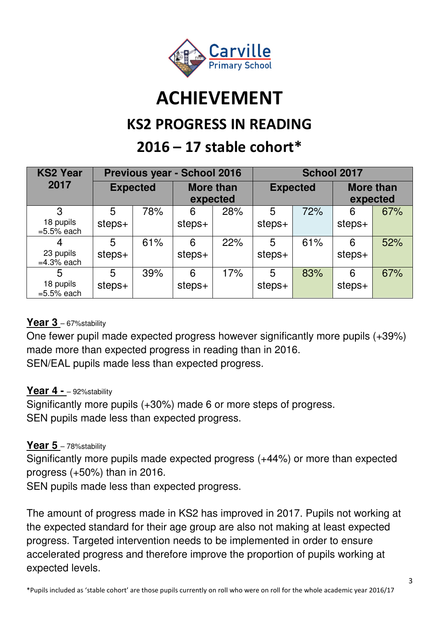

### **KS2 PROGRESS IN READING**

## **2016 – 17 stable cohort\***

| <b>KS2 Year</b>                 |                 |     | <b>Previous year - School 2016</b> |     | School 2017     |     |                              |     |
|---------------------------------|-----------------|-----|------------------------------------|-----|-----------------|-----|------------------------------|-----|
| 2017                            | <b>Expected</b> |     | <b>More than</b><br>expected       |     | <b>Expected</b> |     | <b>More than</b><br>expected |     |
| 3<br>18 pupils<br>$=5.5\%$ each | 5<br>steps+     | 78% | 6<br>$steps+$                      | 28% | 5<br>steps+     | 72% | 6<br>steps+                  | 67% |
| 23 pupils<br>$=4.3\%$ each      | 5<br>$steps+$   | 61% | 6<br>$steps+$                      | 22% | 5<br>$steps+$   | 61% | 6<br>steps+                  | 52% |
| 5<br>18 pupils<br>$=5.5\%$ each | 5<br>steps+     | 39% | 6<br>$steps+$                      | 17% | 5<br>steps+     | 83% | 6<br>steps+                  | 67% |

### Year 3 - 67% stability

One fewer pupil made expected progress however significantly more pupils (+39%) made more than expected progress in reading than in 2016. SEN/EAL pupils made less than expected progress.

#### Year 4 - - 92% stability

Significantly more pupils (+30%) made 6 or more steps of progress. SEN pupils made less than expected progress.

#### Year 5 - 78% stability

Significantly more pupils made expected progress (+44%) or more than expected progress (+50%) than in 2016.

SEN pupils made less than expected progress.

The amount of progress made in KS2 has improved in 2017. Pupils not working at the expected standard for their age group are also not making at least expected progress. Targeted intervention needs to be implemented in order to ensure accelerated progress and therefore improve the proportion of pupils working at expected levels.